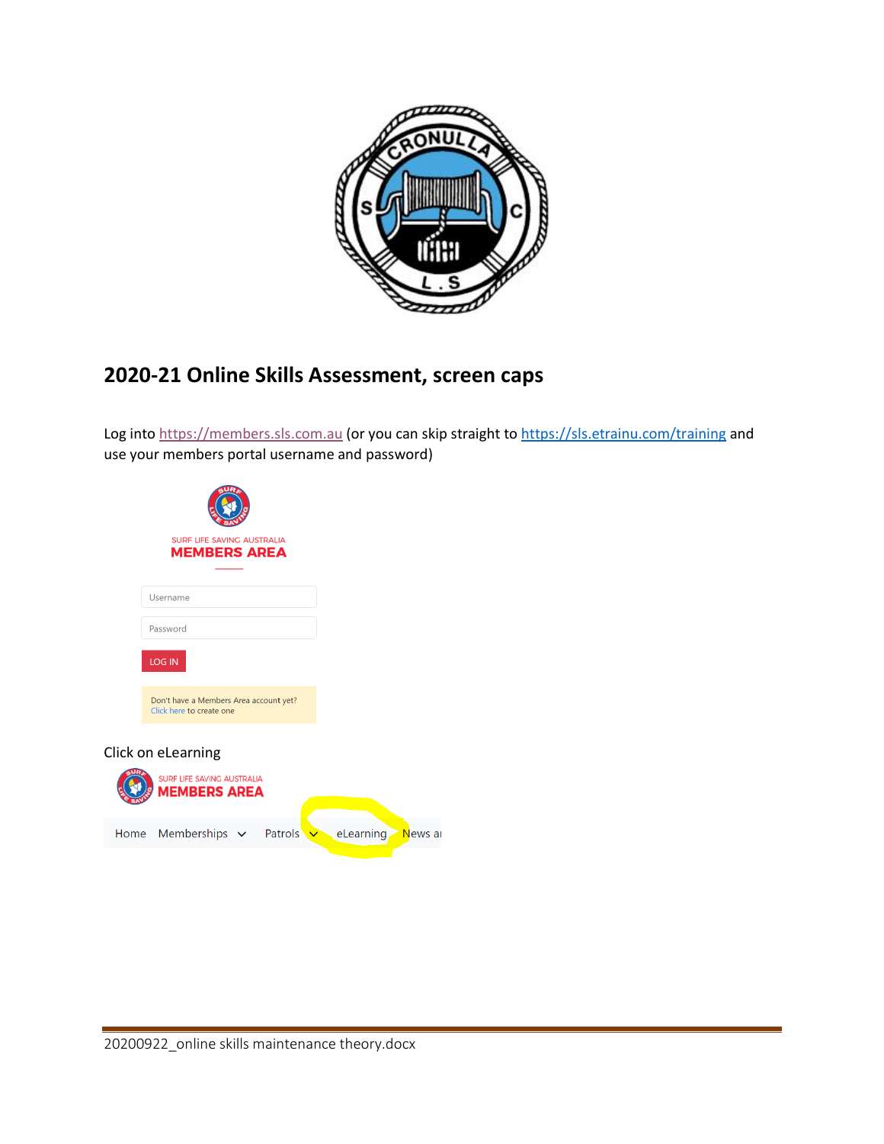

## **2020-21 Online Skills Assessment, screen caps**

Log into [https://members.sls.com.au](https://members.sls.com.au/) (or you can skip straight to<https://sls.etrainu.com/training> and use your members portal username and password)

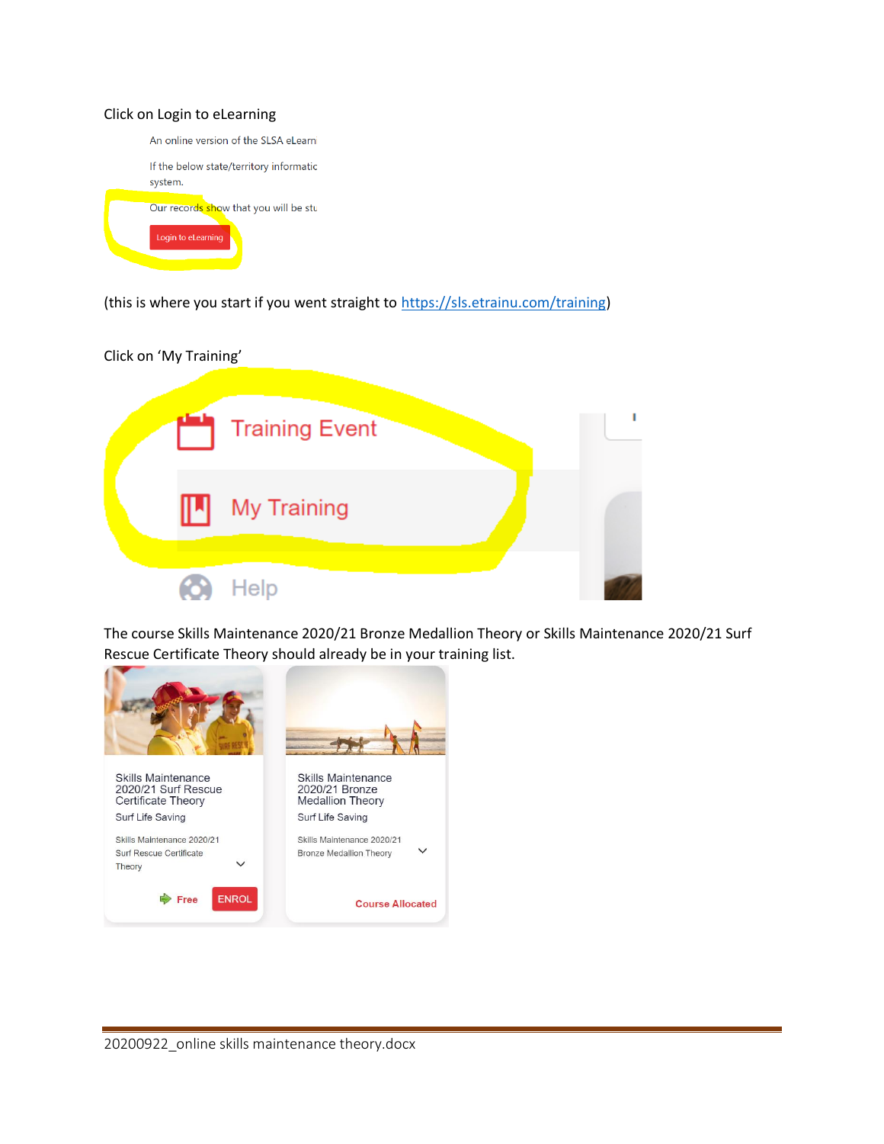## Click on Login to eLearning



(this is where you start if you went straight to [https://sls.etrainu.com/training\)](https://sls.etrainu.com/training)



The course Skills Maintenance 2020/21 Bronze Medallion Theory or Skills Maintenance 2020/21 Surf Rescue Certificate Theory should already be in your training list.

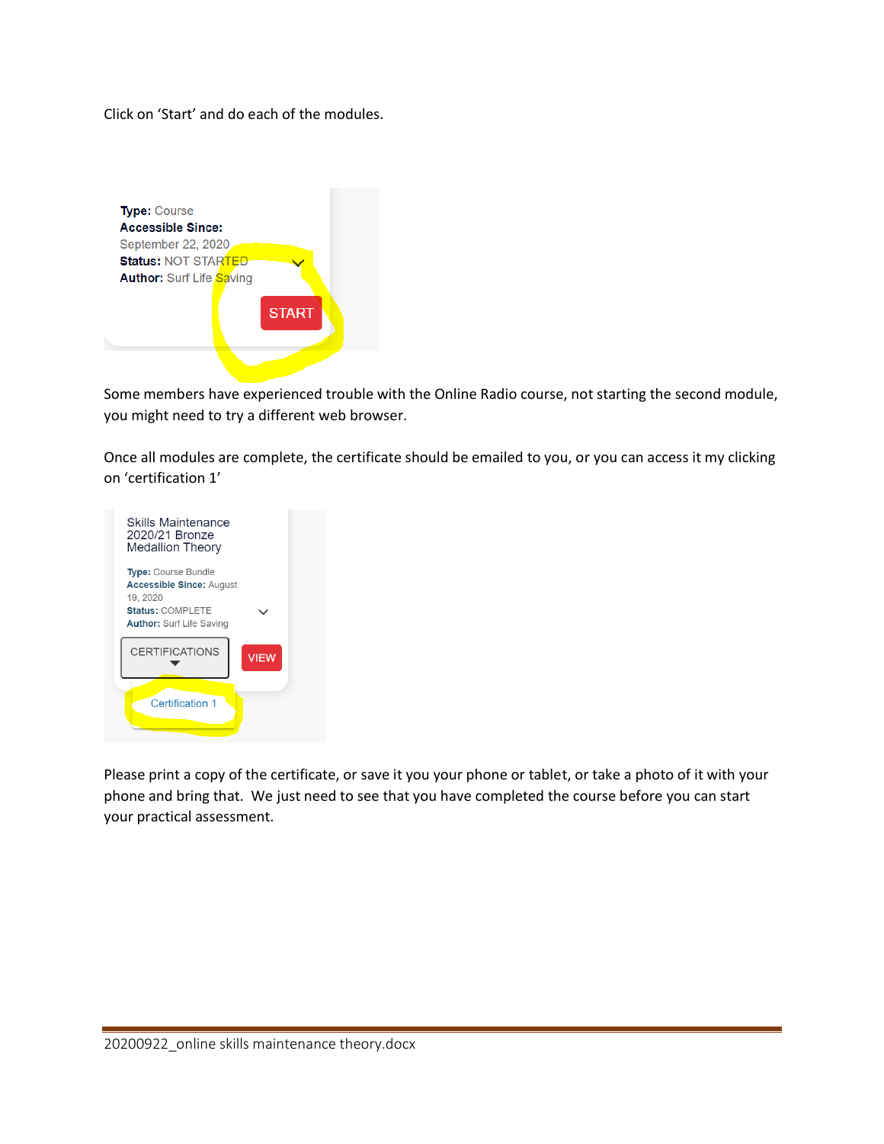Click on 'Start' and do each of the modules.



Some members have experienced trouble with the Online Radio course, not starting the second module, you might need to try a different web browser.

Once all modules are complete, the certificate should be emailed to you, or you can access it my clicking on 'certification 1'



Please print a copy of the certificate, or save it you your phone or tablet, or take a photo of it with your phone and bring that. We just need to see that you have completed the course before you can start your practical assessment.